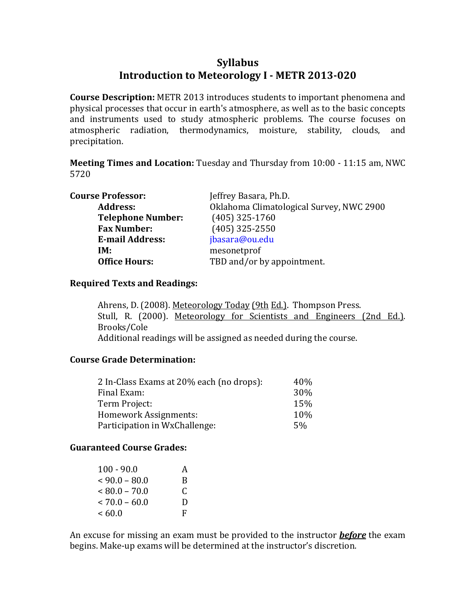# **Syllabus Introduction to Meteorology I METR 2013020**

**Course Description:** METR 2013 introduces students to important phenomena and physical processes that occur in earth's atmosphere, as well as to the basic concepts and instruments used to study atmospheric problems. The course focuses on atmospheric radiation, thermodynamics, moisture, stability, clouds, and precipitation.

**Meeting Times and Location:** Tuesday and Thursday from 10:00 ‐ 11:15 am, NWC 5720

| <b>Course Professor:</b> | Jeffrey Basara, Ph.D.                    |
|--------------------------|------------------------------------------|
| <b>Address:</b>          | Oklahoma Climatological Survey, NWC 2900 |
| <b>Telephone Number:</b> | $(405)$ 325-1760                         |
| <b>Fax Number:</b>       | $(405)$ 325-2550                         |
| <b>E-mail Address:</b>   | jbasara@ou.edu                           |
| IM:                      | mesonetprof                              |
| <b>Office Hours:</b>     | TBD and/or by appointment.               |

#### **Required Texts and Readings:**

Ahrens, D. (2008). Meteorology Today (9th Ed.). Thompson Press. Stull, R. (2000). Meteorology for Scientists and Engineers (2nd Ed.). Brooks/Cole Additional readings will be assigned as needed during the course.

#### **Course Grade Determination:**

| 2 In-Class Exams at 20% each (no drops): | 40%  |
|------------------------------------------|------|
| Final Exam:                              | 30%  |
| Term Project:                            | 15%  |
| Homework Assignments:                    | 10\% |
| Participation in WxChallenge:            | 5%   |

## **Guaranteed Course Grades:**

| $100 - 90.0$    | A |
|-----------------|---|
| $<90.0-80.0$    | B |
| $< 80.0 - 70.0$ | C |
| $< 70.0 - 60.0$ | Ð |
| <60.0           | F |

An excuse for missing an exam must be provided to the instructor *before* the exam begins. Make‐up exams will be determined at the instructor's discretion.